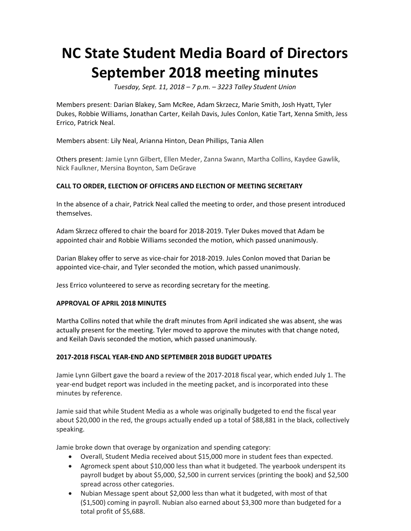# **NC State Student Media Board of Directors September 2018 meeting minutes**

 *Tuesday, Sept. 11, 2018 – 7 p.m. – 3223 Talley Student Union* 

Members present: Darian Blakey, Sam McRee, Adam Skrzecz, Marie Smith, Josh Hyatt, Tyler Dukes, Robbie Williams, Jonathan Carter, Keilah Davis, Jules Conlon, Katie Tart, Xenna Smith, Jess Errico, Patrick Neal.

Members absent: Lily Neal, Arianna Hinton, Dean Phillips, Tania Allen

 Others present: Jamie Lynn Gilbert, Ellen Meder, Zanna Swann, Martha Collins, Kaydee Gawlik, Nick Faulkner, Mersina Boynton, Sam DeGrave

# **CALL TO ORDER, ELECTION OF OFFICERS AND ELECTION OF MEETING SECRETARY**

 In the absence of a chair, Patrick Neal called the meeting to order, and those present introduced themselves.

 Adam Skrzecz offered to chair the board for 2018-2019. Tyler Dukes moved that Adam be appointed chair and Robbie Williams seconded the motion, which passed unanimously.

 Darian Blakey offer to serve as vice-chair for 2018-2019. Jules Conlon moved that Darian be appointed vice-chair, and Tyler seconded the motion, which passed unanimously.

Jess Errico volunteered to serve as recording secretary for the meeting.

# **APPROVAL OF APRIL 2018 MINUTES**

 Martha Collins noted that while the draft minutes from April indicated she was absent, she was actually present for the meeting. Tyler moved to approve the minutes with that change noted, and Keilah Davis seconded the motion, which passed unanimously.

# **2017-2018 FISCAL YEAR-END AND SEPTEMBER 2018 BUDGET UPDATES**

 Jamie Lynn Gilbert gave the board a review of the 2017-2018 fiscal year, which ended July 1. The year-end budget report was included in the meeting packet, and is incorporated into these minutes by reference.

 Jamie said that while Student Media as a whole was originally budgeted to end the fiscal year about \$20,000 in the red, the groups actually ended up a total of \$88,881 in the black, collectively speaking.

Jamie broke down that overage by organization and spending category:

- • Overall, Student Media received about \$15,000 more in student fees than expected.
- Agromeck spent about \$10,000 less than what it budgeted. The yearbook underspent its payroll budget by about \$5,000, \$2,500 in current services (printing the book) and \$2,500 spread across other categories.
- Nubian Message spent about \$2,000 less than what it budgeted, with most of that (\$1,500) coming in payroll. Nubian also earned about \$3,300 more than budgeted for a total profit of \$5,688.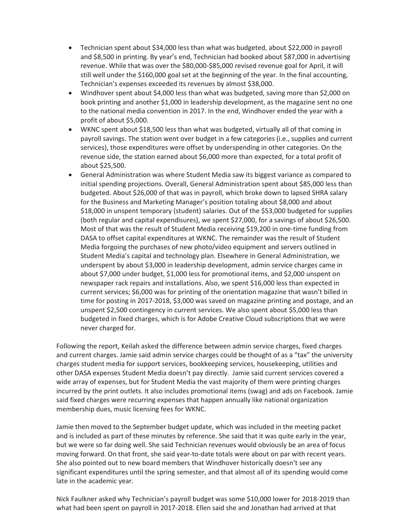- Technician spent about \$34,000 less than what was budgeted, about \$22,000 in payroll and \$8,500 in printing. By year's end, Technician had booked about \$87,000 in advertising revenue. While that was over the \$80,000-\$85,000 revised revenue goal for April, it will still well under the \$160,000 goal set at the beginning of the year. In the final accounting, Technician's expenses exceeded its revenues by almost \$38,000.
- Windhover spent about \$4,000 less than what was budgeted, saving more than \$2,000 on to the national media convention in 2017. In the end, Windhover ended the year with a book printing and another \$1,000 in leadership development, as the magazine sent no one profit of about \$5,000.
- payroll savings. The station went over budget in a few categories (i.e., supplies and current • WKNC spent about \$18,500 less than what was budgeted, virtually all of that coming in services), those expenditures were offset by underspending in other categories. On the revenue side, the station earned about \$6,000 more than expected, for a total profit of about \$25,500.
- **•** General Administration was where Student Media saw its biggest variance as compared to budgeted. About \$26,000 of that was in payroll, which broke down to lapsed SHRA salary (both regular and capital expendisures), we spent \$27,000, for a savings of about \$26,500. Media forgoing the purchases of new photo/video equipment and servers outlined in current services; \$6,000 was for printing of the orientation magazine that wasn't billed in unspent \$2,500 contingency in current services. We also spent about \$5,000 less than budgeted in fixed charges, which is for Adobe Creative Cloud subscriptions that we were initial spending projections. Overall, General Administration spent about \$85,000 less than for the Business and Marketing Manager's position totaling about \$8,000 and about \$18,000 in unspent temporary (student) salaries. Out of the \$53,000 budgeted for supplies Most of that was the result of Student Media receiving \$19,200 in one-time funding from DASA to offset capital expenditures at WKNC. The remainder was the result of Student Student Media's capital and technology plan. Elsewhere in General Administration, we underspent by about \$3,000 in leadership development, admin service charges came in about \$7,000 under budget, \$1,000 less for promotional items, and \$2,000 unspent on newspaper rack repairs and installations. Also, we spent \$16,000 less than expected in time for posting in 2017-2018, \$3,000 was saved on magazine printing and postage, and an never charged for.

 Following the report, Keilah asked the difference between admin service charges, fixed charges and current charges. Jamie said admin service charges could be thought of as a "tax" the university charges student media for support services, bookkeeping services, housekeeping, utilities and other DASA expenses Student Media doesn't pay directly. Jamie said current services covered a wide array of expenses, but for Student Media the vast majority of them were printing charges incurred by the print outlets. It also includes promotional items (swag) and ads on Facebook. Jamie said fixed charges were recurring expenses that happen annually like national organization membership dues, music licensing fees for WKNC.

 Jamie then moved to the September budget update, which was included in the meeting packet moving forward. On that front, she said year-to-date totals were about on par with recent years. and is included as part of these minutes by reference. She said that it was quite early in the year, but we were so far doing well. She said Technician revenues would obviously be an area of focus She also pointed out to new board members that Windhover historically doesn't see any significant expenditures until the spring semester, and that almost all of its spending would come late in the academic year.

 Nick Faulkner asked why Technician's payroll budget was some \$10,000 lower for 2018-2019 than what had been spent on payroll in 2017-2018. Ellen said she and Jonathan had arrived at that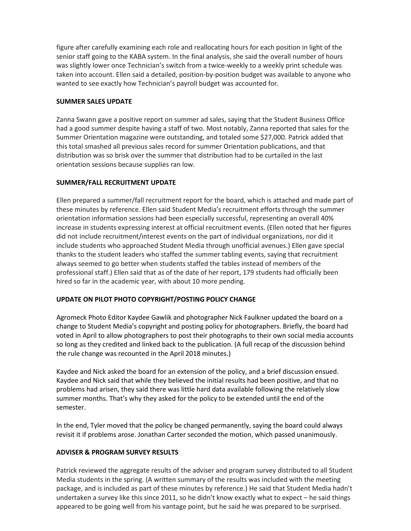senior staff going to the KABA system. In the final analysis, she said the overall number of hours was slightly lower once Technician's switch from a twice-weekly to a weekly print schedule was taken into account. Ellen said a detailed, position-by-position budget was available to anyone who figure after carefully examining each role and reallocating hours for each position in light of the wanted to see exactly how Technician's payroll budget was accounted for.

#### **SUMMER SALES UPDATE**

 Zanna Swann gave a positive report on summer ad sales, saying that the Student Business Office had a good summer despite having a staff of two. Most notably, Zanna reported that sales for the Summer Orientation magazine were outstanding, and totaled some \$27,000. Patrick added that this total smashed all previous sales record for summer Orientation publications, and that distribution was so brisk over the summer that distribution had to be curtailed in the last orientation sessions because supplies ran low.

# **SUMMER/FALL RECRUITMENT UPDATE**

 orientation information sessions had been especially successful, representing an overall 40% increase in students expressing interest at official recruitment events. (Ellen noted that her figures professional staff.) Ellen said that as of the date of her report, 179 students had officially been Ellen prepared a summer/fall recruitment report for the board, which is attached and made part of these minutes by reference. Ellen said Student Media's recruitment efforts through the summer did not include recruitment/interest events on the part of individual organizations, nor did it include students who approached Student Media through unofficial avenues.) Ellen gave special thanks to the student leaders who staffed the summer tabling events, saying that recruitment always seemed to go better when students staffed the tables instead of members of the hired so far in the academic year, with about 10 more pending.

# **UPDATE ON PILOT PHOTO COPYRIGHT/POSTING POLICY CHANGE**

 change to Student Media's copyright and posting policy for photographers. Briefly, the board had Agromeck Photo Editor Kaydee Gawlik and photographer Nick Faulkner updated the board on a voted in April to allow photographers to post their photographs to their own social media accounts so long as they credited and linked back to the publication. (A full recap of the discussion behind the rule change was recounted in the April 2018 minutes.)

 problems had arisen, they said there was little hard data available following the relatively slow summer months. That's why they asked for the policy to be extended until the end of the Kaydee and Nick asked the board for an extension of the policy, and a brief discussion ensued. Kaydee and Nick said that while they believed the initial results had been positive, and that no semester.

 In the end, Tyler moved that the policy be changed permanently, saying the board could always revisit it if problems arose. Jonathan Carter seconded the motion, which passed unanimously.

#### **ADVISER & PROGRAM SURVEY RESULTS**

 Media students in the spring. (A written summary of the results was included with the meeting undertaken a survey like this since 2011, so he didn't know exactly what to expect – he said things appeared to be going well from his vantage point, but he said he was prepared to be surprised. Patrick reviewed the aggregate results of the adviser and program survey distributed to all Student package, and is included as part of these minutes by reference.) He said that Student Media hadn't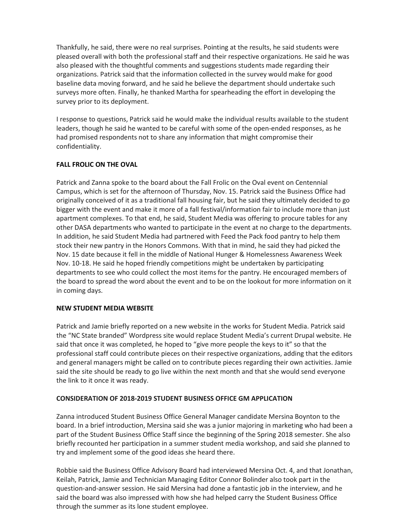Thankfully, he said, there were no real surprises. Pointing at the results, he said students were organizations. Patrick said that the information collected in the survey would make for good surveys more often. Finally, he thanked Martha for spearheading the effort in developing the pleased overall with both the professional staff and their respective organizations. He said he was also pleased with the thoughtful comments and suggestions students made regarding their baseline data moving forward, and he said he believe the department should undertake such survey prior to its deployment.

I response to questions, Patrick said he would make the individual results available to the student leaders, though he said he wanted to be careful with some of the open-ended responses, as he had promised respondents not to share any information that might compromise their confidentiality.

#### **FALL FROLIC ON THE OVAL**

 Campus, which is set for the afternoon of Thursday, Nov. 15. Patrick said the Business Office had originally conceived of it as a traditional fall housing fair, but he said they ultimately decided to go bigger with the event and make it more of a fall festival/information fair to include more than just apartment complexes. To that end, he said, Student Media was offering to procure tables for any In addition, he said Student Media had partnered with Feed the Pack food pantry to help them stock their new pantry in the Honors Commons. With that in mind, he said they had picked the Nov. 15 date because it fell in the middle of National Hunger & Homelessness Awareness Week departments to see who could collect the most items for the pantry. He encouraged members of the board to spread the word about the event and to be on the lookout for more information on it Patrick and Zanna spoke to the board about the Fall Frolic on the Oval event on Centennial other DASA departments who wanted to participate in the event at no charge to the departments. Nov. 10-18. He said he hoped friendly competitions might be undertaken by participating in coming days.

#### **NEW STUDENT MEDIA WEBSITE**

 the "NC State branded" Wordpress site would replace Student Media's current Drupal website. He said that once it was completed, he hoped to "give more people the keys to it" so that the said the site should be ready to go live within the next month and that she would send everyone Patrick and Jamie briefly reported on a new website in the works for Student Media. Patrick said professional staff could contribute pieces on their respective organizations, adding that the editors and general managers might be called on to contribute pieces regarding their own activities. Jamie the link to it once it was ready.

#### **CONSIDERATION OF 2018-2019 STUDENT BUSINESS OFFICE GM APPLICATION**

 Zanna introduced Student Business Office General Manager candidate Mersina Boynton to the board. In a brief introduction, Mersina said she was a junior majoring in marketing who had been a part of the Student Business Office Staff since the beginning of the Spring 2018 semester. She also briefly recounted her participation in a summer student media workshop, and said she planned to try and implement some of the good ideas she heard there.

 Keilah, Patrick, Jamie and Technician Managing Editor Connor Bolinder also took part in the Robbie said the Business Office Advisory Board had interviewed Mersina Oct. 4, and that Jonathan, question-and-answer session. He said Mersina had done a fantastic job in the interview, and he said the board was also impressed with how she had helped carry the Student Business Office through the summer as its lone student employee.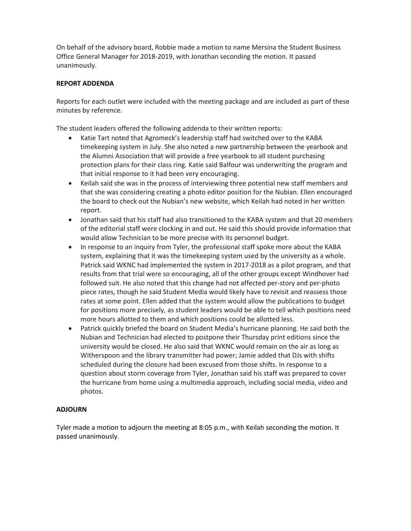On behalf of the advisory board, Robbie made a motion to name Mersina the Student Business Office General Manager for 2018-2019, with Jonathan seconding the motion. It passed unanimously.

#### **REPORT ADDENDA**

Reports for each outlet were included with the meeting package and are included as part of these minutes by reference.

The student leaders offered the following addenda to their written reports:

- the Alumni Association that will provide a free yearbook to all student purchasing • Katie Tart noted that Agromeck's leadership staff had switched over to the KABA timekeeping system in July. She also noted a new partnership between the yearbook and protection plans for their class ring. Katie said Balfour was underwriting the program and that initial response to it had been very encouraging.
- that she was considering creating a photo editor position for the Nubian. Ellen encouraged the board to check out the Nubian's new website, which Keilah had noted in her written • Keilah said she was in the process of interviewing three potential new staff members and report.
- • Jonathan said that his staff had also transitioned to the KABA system and that 20 members of the editorial staff were clocking in and out. He said this should provide information that would allow Technician to be more precise with its personnel budget.
- system, explaining that it was the timekeeping system used by the university as a whole. rates at some point. Ellen added that the system would allow the publications to budget • In response to an inquiry from Tyler, the professional staff spoke more about the KABA Patrick said WKNC had implemented the system in 2017-2018 as a pilot program, and that results from that trial were so encouraging, all of the other groups except Windhover had followed suit. He also noted that this change had not affected per-story and per-photo piece rates, though he said Student Media would likely have to revisit and reassess those for positions more precisely, as student leaders would be able to tell which positions need more hours allotted to them and which positions could be allotted less.
- Patrick quickly briefed the board on Student Media's hurricane planning. He said both the Nubian and Technician had elected to postpone their Thursday print editions since the university would be closed. He also said that WKNC would remain on the air as long as Witherspoon and the library transmitter had power; Jamie added that DJs with shifts scheduled during the closure had been excused from those shifts. In response to a question about storm coverage from Tyler, Jonathan said his staff was prepared to cover the hurricane from home using a multimedia approach, including social media, video and photos.

# **ADJOURN**

 Tyler made a motion to adjourn the meeting at 8:05 p.m., with Keilah seconding the motion. It passed unanimously.